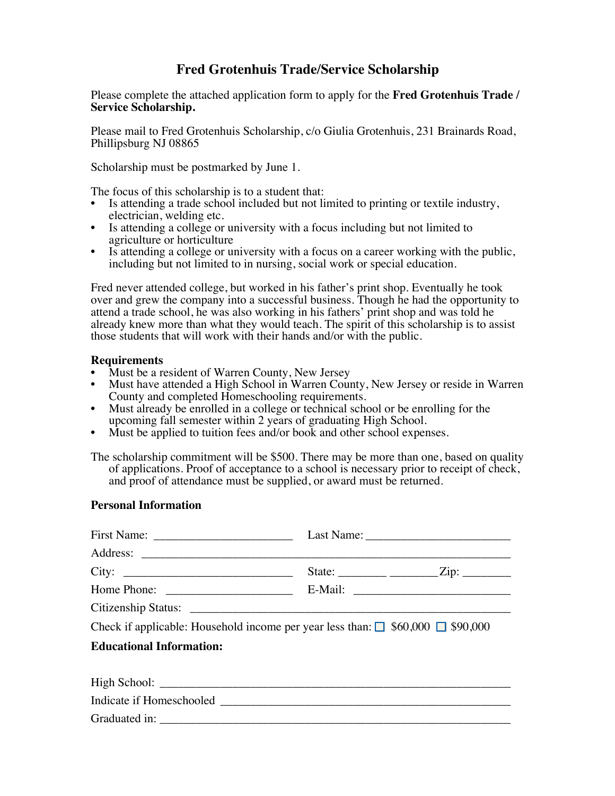## **Fred Grotenhuis Trade/Service Scholarship**

Please complete the attached application form to apply for the **Fred Grotenhuis Trade / Service Scholarship.**

Please mail to Fred Grotenhuis Scholarship, c/o Giulia Grotenhuis, 231 Brainards Road, Phillipsburg NJ 08865

Scholarship must be postmarked by June 1.

The focus of this scholarship is to a student that:

- Is attending a trade school included but not limited to printing or textile industry, electrician, welding etc.
- Is attending a college or university with a focus including but not limited to agriculture or horticulture
- Is attending a college or university with a focus on a career working with the public, including but not limited to in nursing, social work or special education.

Fred never attended college, but worked in his father's print shop. Eventually he took over and grew the company into a successful business. Though he had the opportunity to attend a trade school, he was also working in his fathers' print shop and was told he already knew more than what they would teach. The spirit of this scholarship is to assist those students that will work with their hands and/or with the public.

## **Requirements**

- Must be a resident of Warren County, New Jersey<br>• Must have attended a High School in Warren Cour
- Must have attended a High School in Warren County, New Jersey or reside in Warren County and completed Homeschooling requirements.
- Must already be enrolled in a college or technical school or be enrolling for the upcoming fall semester within 2 years of graduating High School.
- Must be applied to tuition fees and/or book and other school expenses.

The scholarship commitment will be \$500. There may be more than one, based on quality of applications. Proof of acceptance to a school is necessary prior to receipt of check, and proof of attendance must be supplied, or award must be returned.

## **Personal Information**

| City:                                                                                     |  |
|-------------------------------------------------------------------------------------------|--|
|                                                                                           |  |
|                                                                                           |  |
| Check if applicable: Household income per year less than: $\Box$ \$60,000 $\Box$ \$90,000 |  |
| <b>Educational Information:</b>                                                           |  |
|                                                                                           |  |
|                                                                                           |  |
|                                                                                           |  |
|                                                                                           |  |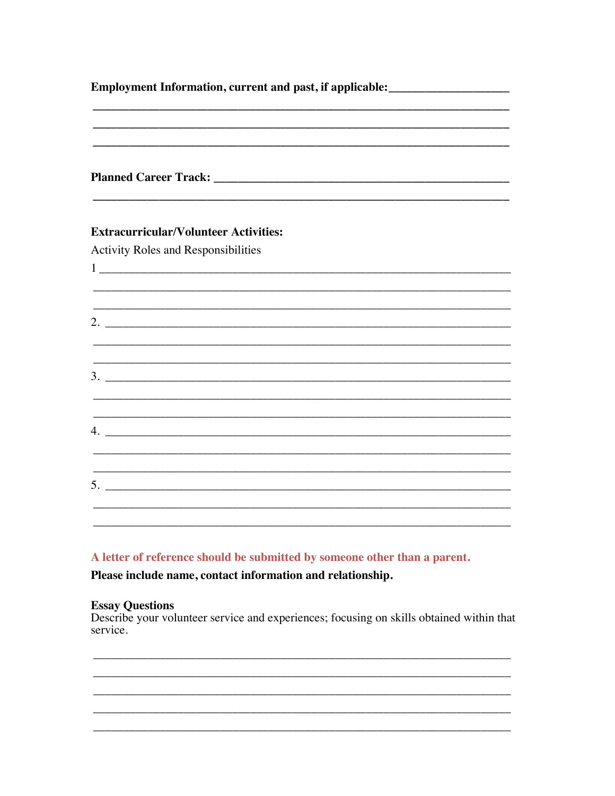| Employment Information, current and past, if applicable: _______________________ |  |  |  |                                                                                  |  |
|----------------------------------------------------------------------------------|--|--|--|----------------------------------------------------------------------------------|--|
|                                                                                  |  |  |  |                                                                                  |  |
| <b>Activity Roles and Responsibilities</b>                                       |  |  |  |                                                                                  |  |
|                                                                                  |  |  |  |                                                                                  |  |
|                                                                                  |  |  |  |                                                                                  |  |
|                                                                                  |  |  |  |                                                                                  |  |
|                                                                                  |  |  |  |                                                                                  |  |
|                                                                                  |  |  |  | ,我们也不能在这里的时候,我们也不能在这里的时候,我们也不能在这里的时候,我们也不能会不能在这里的时候,我们也不能会不能会不能会不能会不能会不能会不能会不能会不 |  |
|                                                                                  |  |  |  |                                                                                  |  |
|                                                                                  |  |  |  | <u> 1989 - Johann Stoff, amerikansk politiker (d. 1989)</u>                      |  |
|                                                                                  |  |  |  |                                                                                  |  |
|                                                                                  |  |  |  |                                                                                  |  |
|                                                                                  |  |  |  |                                                                                  |  |
|                                                                                  |  |  |  |                                                                                  |  |
|                                                                                  |  |  |  |                                                                                  |  |

A letter of reference should be submitted by someone other than a parent.

Please include name, contact information and relationship.

## **Essay Questions**

Describe your volunteer service and experiences; focusing on skills obtained within that service.